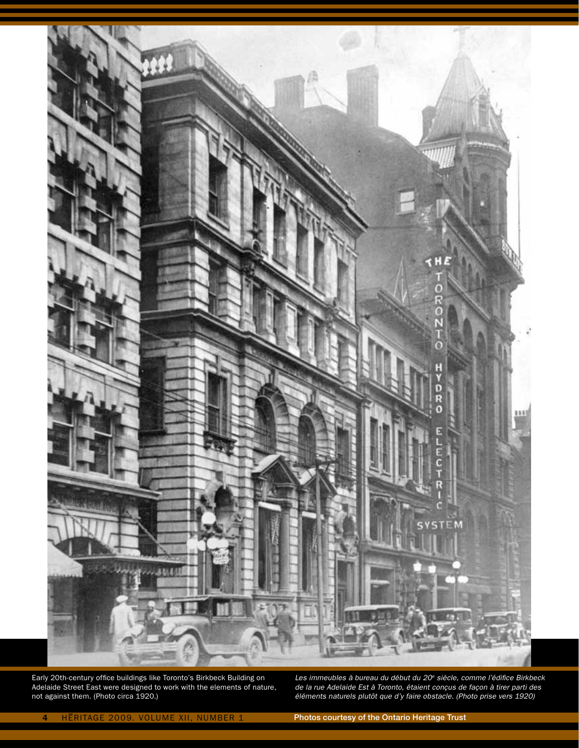

Early 20th-century office buildings like Toronto's Birkbeck Building on Adelaide Street East were designed to work with the elements of nature, not against them. (Photo circa 1920.)

*Les immeubles à bureau du début du 20e siècle, comme l'édifice Birkbeck de la rue Adelaide Est à Toronto, étaient conçus de façon à tirer parti des éléments naturels plutôt que d'y faire obstacle. (Photo prise vers 1920)*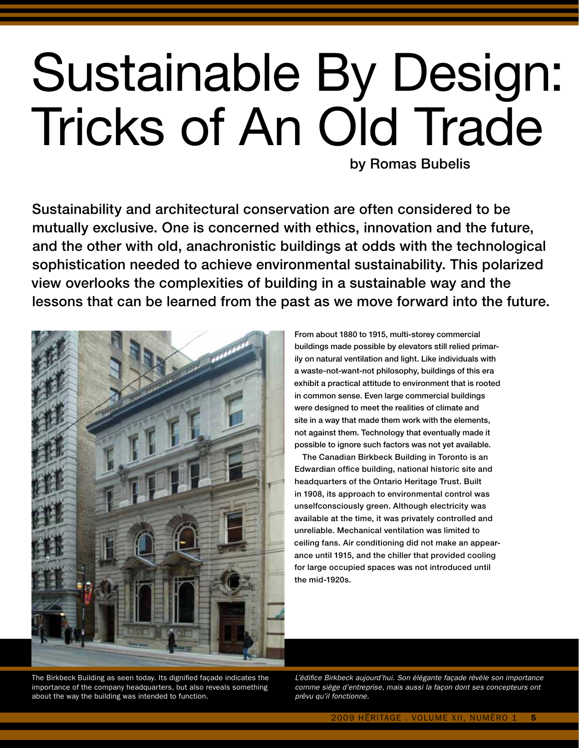# Sustainable By Design: Tricks of An Old Trade by Romas Bubelis

Sustainability and architectural conservation are often considered to be mutually exclusive. One is concerned with ethics, innovation and the future, and the other with old, anachronistic buildings at odds with the technological sophistication needed to achieve environmental sustainability. This polarized view overlooks the complexities of building in a sustainable way and the lessons that can be learned from the past as we move forward into the future.



From about 1880 to 1915, multi-storey commercial buildings made possible by elevators still relied primarily on natural ventilation and light. Like individuals with a waste-not-want-not philosophy, buildings of this era exhibit a practical attitude to environment that is rooted in common sense. Even large commercial buildings were designed to meet the realities of climate and site in a way that made them work with the elements, not against them. Technology that eventually made it possible to ignore such factors was not yet available.

The Canadian Birkbeck Building in Toronto is an Edwardian office building, national historic site and headquarters of the Ontario Heritage Trust. Built in 1908, its approach to environmental control was unselfconsciously green. Although electricity was available at the time, it was privately controlled and unreliable. Mechanical ventilation was limited to ceiling fans. Air conditioning did not make an appearance until 1915, and the chiller that provided cooling for large occupied spaces was not introduced until the mid-1920s.

The Birkbeck Building as seen today. Its dignified façade indicates the importance of the company headquarters, but also reveals something about the way the building was intended to function.

*L'édifice Birkbeck aujourd'hui. Son élégante façade révèle son importance comme siège d'entreprise, mais aussi la façon dont ses concepteurs ont prévu qu'il fonctionne.*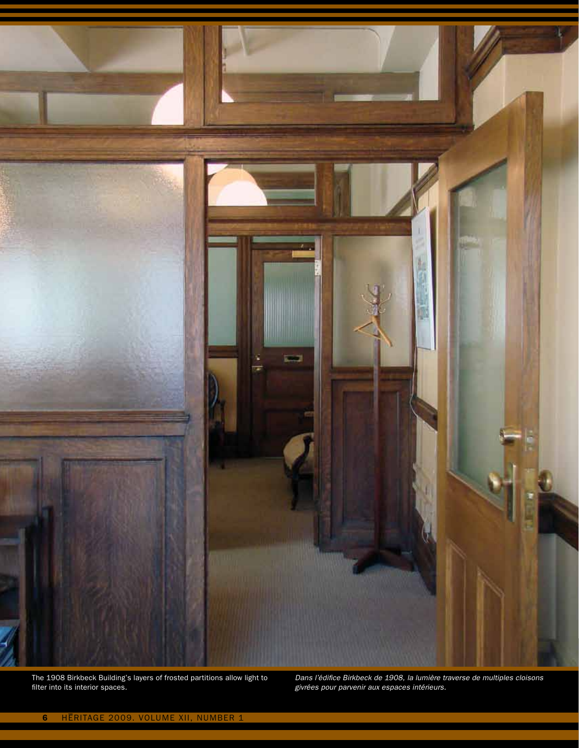

The 1908 Birkbeck Building's layers of frosted partitions allow light to filter into its interior spaces.

*Dans l'édifice Birkbeck de 1908, la lumière traverse de multiples cloisons givrées pour parvenir aux espaces intérieurs.*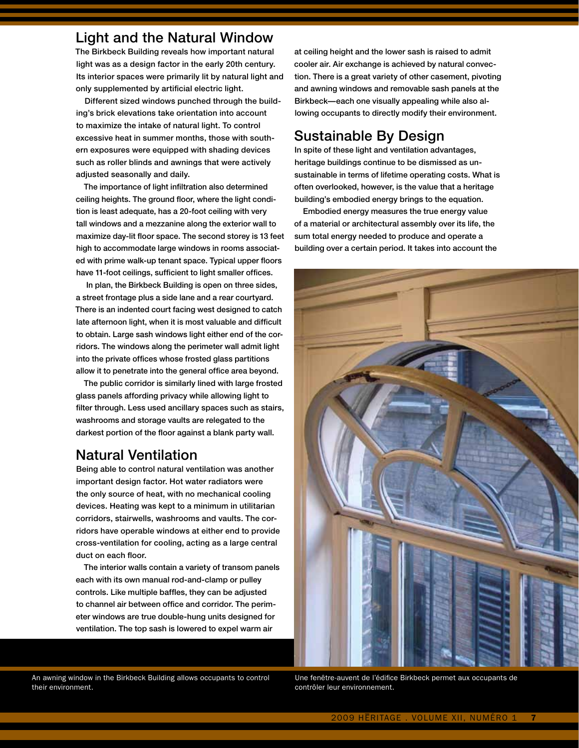#### Light and the Natural Window

The Birkbeck Building reveals how important natural light was as a design factor in the early 20th century. Its interior spaces were primarily lit by natural light and only supplemented by artificial electric light.

Different sized windows punched through the building's brick elevations take orientation into account to maximize the intake of natural light. To control excessive heat in summer months, those with southern exposures were equipped with shading devices such as roller blinds and awnings that were actively adjusted seasonally and daily.

The importance of light infiltration also determined ceiling heights. The ground floor, where the light condition is least adequate, has a 20-foot ceiling with very tall windows and a mezzanine along the exterior wall to maximize day-lit floor space. The second storey is 13 feet high to accommodate large windows in rooms associated with prime walk-up tenant space. Typical upper floors have 11-foot ceilings, sufficient to light smaller offices.

 In plan, the Birkbeck Building is open on three sides, a street frontage plus a side lane and a rear courtyard. There is an indented court facing west designed to catch late afternoon light, when it is most valuable and difficult to obtain. Large sash windows light either end of the corridors. The windows along the perimeter wall admit light into the private offices whose frosted glass partitions allow it to penetrate into the general office area beyond.

The public corridor is similarly lined with large frosted glass panels affording privacy while allowing light to filter through. Less used ancillary spaces such as stairs, washrooms and storage vaults are relegated to the darkest portion of the floor against a blank party wall.

## Natural Ventilation

Being able to control natural ventilation was another important design factor. Hot water radiators were the only source of heat, with no mechanical cooling devices. Heating was kept to a minimum in utilitarian corridors, stairwells, washrooms and vaults. The corridors have operable windows at either end to provide cross-ventilation for cooling, acting as a large central duct on each floor.

The interior walls contain a variety of transom panels each with its own manual rod-and-clamp or pulley controls. Like multiple baffles, they can be adjusted to channel air between office and corridor. The perimeter windows are true double-hung units designed for ventilation. The top sash is lowered to expel warm air

An awning window in the Birkbeck Building allows occupants to control their environment.

at ceiling height and the lower sash is raised to admit cooler air. Air exchange is achieved by natural convection. There is a great variety of other casement, pivoting and awning windows and removable sash panels at the Birkbeck—each one visually appealing while also allowing occupants to directly modify their environment.

# Sustainable By Design

In spite of these light and ventilation advantages, heritage buildings continue to be dismissed as unsustainable in terms of lifetime operating costs. What is often overlooked, however, is the value that a heritage building's embodied energy brings to the equation.

Embodied energy measures the true energy value of a material or architectural assembly over its life, the sum total energy needed to produce and operate a building over a certain period. It takes into account the



Une fenêtre-auvent de l'édifice Birkbeck permet aux occupants de contrôler leur environnement.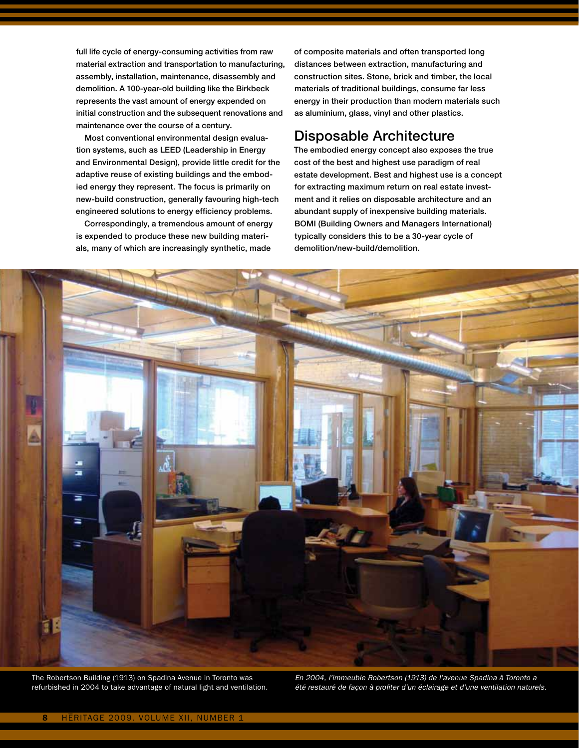full life cycle of energy-consuming activities from raw material extraction and transportation to manufacturing, assembly, installation, maintenance, disassembly and demolition. A 100-year-old building like the Birkbeck represents the vast amount of energy expended on initial construction and the subsequent renovations and maintenance over the course of a century.

Most conventional environmental design evaluation systems, such as LEED (Leadership in Energy and Environmental Design), provide little credit for the adaptive reuse of existing buildings and the embodied energy they represent. The focus is primarily on new-build construction, generally favouring high-tech engineered solutions to energy efficiency problems.

Correspondingly, a tremendous amount of energy is expended to produce these new building materials, many of which are increasingly synthetic, made

of composite materials and often transported long distances between extraction, manufacturing and construction sites. Stone, brick and timber, the local materials of traditional buildings, consume far less energy in their production than modern materials such as aluminium, glass, vinyl and other plastics.

#### Disposable Architecture

The embodied energy concept also exposes the true cost of the best and highest use paradigm of real estate development. Best and highest use is a concept for extracting maximum return on real estate investment and it relies on disposable architecture and an abundant supply of inexpensive building materials. BOMI (Building Owners and Managers International) typically considers this to be a 30-year cycle of demolition/new-build/demolition.



The Robertson Building (1913) on Spadina Avenue in Toronto was refurbished in 2004 to take advantage of natural light and ventilation. *En 2004, l'immeuble Robertson (1913) de l'avenue Spadina à Toronto a été restauré de façon à profiter d'un éclairage et d'une ventilation naturels.*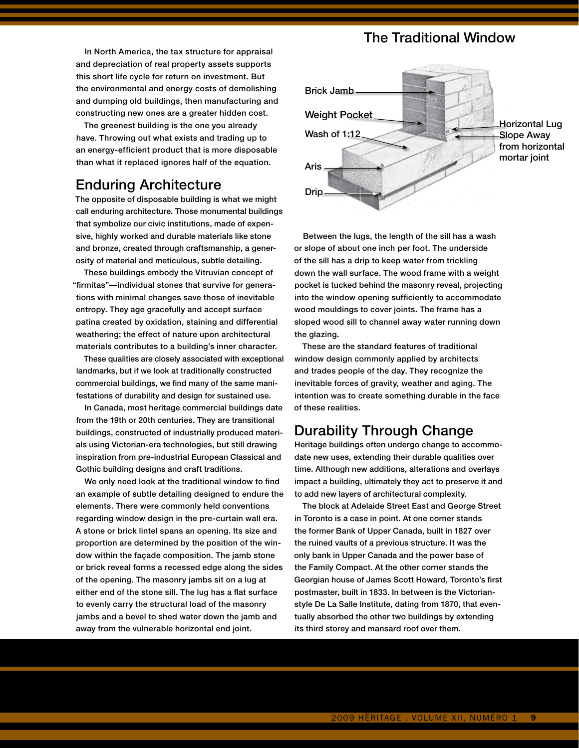In North America, the tax structure for appraisal and depreciation of real property assets supports this short life cycle for return on investment. But the environmental and energy costs of demolishing and dumping old buildings, then manufacturing and constructing new ones are a greater hidden cost.

The greenest building is the one you already have. Throwing out what exists and trading up to an energy-efficient product that is more disposable than what it replaced ignores half of the equation.

#### Enduring Architecture

The opposite of disposable building is what we might call enduring architecture. Those monumental buildings that symbolize our civic institutions, made of expensive, highly worked and durable materials like stone and bronze, created through craftsmanship, a generosity of material and meticulous, subtle detailing.

These buildings embody the Vitruvian concept of "firmitas"—individual stones that survive for generations with minimal changes save those of inevitable entropy. They age gracefully and accept surface patina created by oxidation, staining and differential weathering; the effect of nature upon architectural materials contributes to a building's inner character.

These qualities are closely associated with exceptional landmarks, but if we look at traditionally constructed commercial buildings, we find many of the same manifestations of durability and design for sustained use.

In Canada, most heritage commercial buildings date from the 19th or 20th centuries. They are transitional buildings, constructed of industrially produced materials using Victorian-era technologies, but still drawing inspiration from pre-industrial European Classical and Gothic building designs and craft traditions.

We only need look at the traditional window to find an example of subtle detailing designed to endure the elements. There were commonly held conventions regarding window design in the pre-curtain wall era. A stone or brick lintel spans an opening. Its size and proportion are determined by the position of the window within the façade composition. The jamb stone or brick reveal forms a recessed edge along the sides of the opening. The masonry jambs sit on a lug at either end of the stone sill. The lug has a flat surface to evenly carry the structural load of the masonry jambs and a bevel to shed water down the jamb and away from the vulnerable horizontal end joint.

### The Traditional Window



wood modiumgs to cover joints. The frame has a<br>sloped wood sill to channel away water running down Between the lugs, the length of the sill has a wash or slope of about one inch per foot. The underside of the sill has a drip to keep water from trickling down the wall surface. The wood frame with a weight pocket is tucked behind the masonry reveal, projecting into the window opening sufficiently to accommodate wood mouldings to cover joints. The frame has a the glazing.

intention was to create something durable in the face and trades people of the day. They recognize the of these realities.<br>. These are the standard features of traditional window design commonly applied by architects inevitable forces of gravity, weather and aging. The

#### Durability Through Change

Heritage buildings often undergo change to accommotime. Although new additions, alterations and overlays date new uses, extending their durable qualities over impact a building, ultimately they act to preserve it and to add new layers of architectural complexity.

The block at Adelaide Street East and George Street in Toronto is a case in point. At one corner stands the former Bank of Upper Canada, built in 1827 over the ruined vaults of a previous structure. It was the only bank in Upper Canada and the power base of the Family Compact. At the other corner stands the Georgian house of James Scott Howard, Toronto's first postmaster, built in 1833. In between is the Victorianstyle De La Salle Institute, dating from 1870, that eventually absorbed the other two buildings by extending its third storey and mansard roof over them.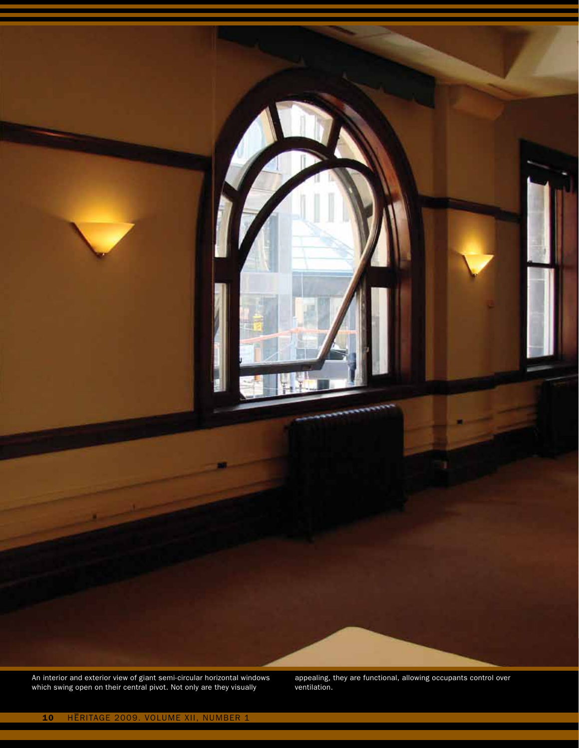An interior and exterior view of giant semi-circular horizontal windows which swing open on their central pivot. Not only are they visually

appealing, they are functional, allowing occupants control over ventilation.